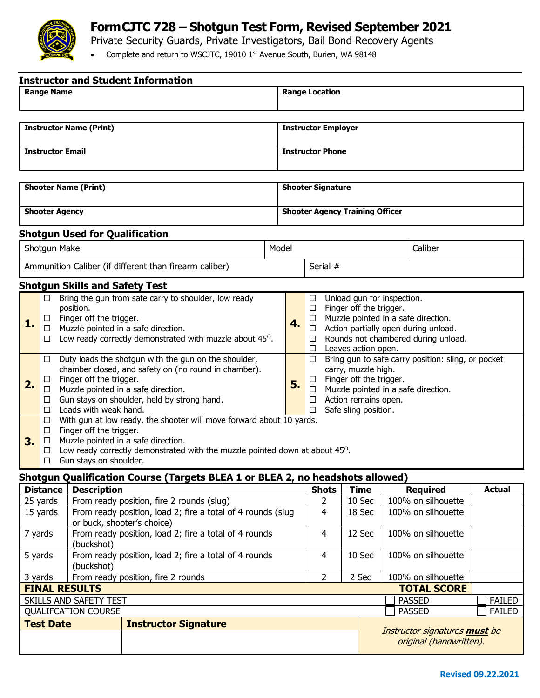

## **FormCJTC 728 – Shotgun Test Form, Revised September 2021**

Private Security Guards, Private Investigators, Bail Bond Recovery Agents

• Complete and return to WSCJTC, 19010 1st Avenue South, Burien, WA 98148

| <b>Instructor and Student Information</b>                                                                                                                                                                                                                                                                                                                                                                                                                                                                                                                                                                                                                                                                                                                                                                                                                             |                                                                                                                                        |                                                                               |  |                                        |                                                                                                                                                                                                                                                                                                                                                                                                                                                                                        |        |                             |                                                          |                                |                                |  |
|-----------------------------------------------------------------------------------------------------------------------------------------------------------------------------------------------------------------------------------------------------------------------------------------------------------------------------------------------------------------------------------------------------------------------------------------------------------------------------------------------------------------------------------------------------------------------------------------------------------------------------------------------------------------------------------------------------------------------------------------------------------------------------------------------------------------------------------------------------------------------|----------------------------------------------------------------------------------------------------------------------------------------|-------------------------------------------------------------------------------|--|----------------------------------------|----------------------------------------------------------------------------------------------------------------------------------------------------------------------------------------------------------------------------------------------------------------------------------------------------------------------------------------------------------------------------------------------------------------------------------------------------------------------------------------|--------|-----------------------------|----------------------------------------------------------|--------------------------------|--------------------------------|--|
| <b>Range Name</b>                                                                                                                                                                                                                                                                                                                                                                                                                                                                                                                                                                                                                                                                                                                                                                                                                                                     |                                                                                                                                        | <b>Range Location</b>                                                         |  |                                        |                                                                                                                                                                                                                                                                                                                                                                                                                                                                                        |        |                             |                                                          |                                |                                |  |
|                                                                                                                                                                                                                                                                                                                                                                                                                                                                                                                                                                                                                                                                                                                                                                                                                                                                       |                                                                                                                                        |                                                                               |  |                                        |                                                                                                                                                                                                                                                                                                                                                                                                                                                                                        |        |                             |                                                          |                                |                                |  |
| <b>Instructor Name (Print)</b>                                                                                                                                                                                                                                                                                                                                                                                                                                                                                                                                                                                                                                                                                                                                                                                                                                        |                                                                                                                                        |                                                                               |  | <b>Instructor Employer</b>             |                                                                                                                                                                                                                                                                                                                                                                                                                                                                                        |        |                             |                                                          |                                |                                |  |
| <b>Instructor Email</b>                                                                                                                                                                                                                                                                                                                                                                                                                                                                                                                                                                                                                                                                                                                                                                                                                                               |                                                                                                                                        |                                                                               |  | <b>Instructor Phone</b>                |                                                                                                                                                                                                                                                                                                                                                                                                                                                                                        |        |                             |                                                          |                                |                                |  |
|                                                                                                                                                                                                                                                                                                                                                                                                                                                                                                                                                                                                                                                                                                                                                                                                                                                                       |                                                                                                                                        |                                                                               |  |                                        |                                                                                                                                                                                                                                                                                                                                                                                                                                                                                        |        |                             |                                                          |                                |                                |  |
| <b>Shooter Name (Print)</b>                                                                                                                                                                                                                                                                                                                                                                                                                                                                                                                                                                                                                                                                                                                                                                                                                                           |                                                                                                                                        |                                                                               |  | <b>Shooter Signature</b>               |                                                                                                                                                                                                                                                                                                                                                                                                                                                                                        |        |                             |                                                          |                                |                                |  |
| <b>Shooter Agency</b>                                                                                                                                                                                                                                                                                                                                                                                                                                                                                                                                                                                                                                                                                                                                                                                                                                                 |                                                                                                                                        |                                                                               |  | <b>Shooter Agency Training Officer</b> |                                                                                                                                                                                                                                                                                                                                                                                                                                                                                        |        |                             |                                                          |                                |                                |  |
|                                                                                                                                                                                                                                                                                                                                                                                                                                                                                                                                                                                                                                                                                                                                                                                                                                                                       | <b>Shotgun Used for Qualification</b>                                                                                                  |                                                                               |  |                                        |                                                                                                                                                                                                                                                                                                                                                                                                                                                                                        |        |                             |                                                          |                                |                                |  |
| Shotgun Make                                                                                                                                                                                                                                                                                                                                                                                                                                                                                                                                                                                                                                                                                                                                                                                                                                                          |                                                                                                                                        |                                                                               |  | Model                                  |                                                                                                                                                                                                                                                                                                                                                                                                                                                                                        |        |                             |                                                          | Caliber                        |                                |  |
| Ammunition Caliber (if different than firearm caliber)                                                                                                                                                                                                                                                                                                                                                                                                                                                                                                                                                                                                                                                                                                                                                                                                                |                                                                                                                                        |                                                                               |  | Serial #                               |                                                                                                                                                                                                                                                                                                                                                                                                                                                                                        |        |                             |                                                          |                                |                                |  |
|                                                                                                                                                                                                                                                                                                                                                                                                                                                                                                                                                                                                                                                                                                                                                                                                                                                                       | <b>Shotgun Skills and Safety Test</b>                                                                                                  |                                                                               |  |                                        |                                                                                                                                                                                                                                                                                                                                                                                                                                                                                        |        |                             |                                                          |                                |                                |  |
| Bring the gun from safe carry to shoulder, low ready<br>□<br>position.<br>$\Box$ Finger off the trigger.<br>1.<br>$\Box$ Muzzle pointed in a safe direction.<br>Low ready correctly demonstrated with muzzle about 45 <sup>o</sup> .<br>$\Box$<br>Duty loads the shotgun with the gun on the shoulder,<br>□.<br>chamber closed, and safety on (no round in chamber).<br>Finger off the trigger.<br>⊔<br>2.<br>Muzzle pointed in a safe direction.<br>$\Box$<br>Gun stays on shoulder, held by strong hand.<br>□<br>Loads with weak hand.<br>$\Box$<br>With gun at low ready, the shooter will move forward about 10 yards.<br>$\Box$<br>Finger off the trigger.<br>$\Box$<br>Muzzle pointed in a safe direction.<br>$\Box$<br>3.<br>Low ready correctly demonstrated with the muzzle pointed down at about 45 <sup>o</sup> .<br>$\Box$<br>Gun stays on shoulder.<br>□ |                                                                                                                                        |                                                                               |  | 4.<br>5.                               | $\Box$ Unload gun for inspection.<br>Finger off the trigger.<br>$\Box$<br>$\Box$ Muzzle pointed in a safe direction.<br>$\Box$ Action partially open during unload.<br>Rounds not chambered during unload.<br>$\Box$<br>$\Box$ Leaves action open.<br>$\Box$ Bring gun to safe carry position: sling, or pocket<br>carry, muzzle high.<br>$\Box$ Finger off the trigger.<br>$\Box$ Muzzle pointed in a safe direction.<br>Action remains open.<br>$\Box$<br>Safe sling position.<br>П. |        |                             |                                                          |                                |                                |  |
|                                                                                                                                                                                                                                                                                                                                                                                                                                                                                                                                                                                                                                                                                                                                                                                                                                                                       |                                                                                                                                        | Shotgun Qualification Course (Targets BLEA 1 or BLEA 2, no headshots allowed) |  |                                        |                                                                                                                                                                                                                                                                                                                                                                                                                                                                                        |        |                             |                                                          |                                |                                |  |
| <b>Distance</b>                                                                                                                                                                                                                                                                                                                                                                                                                                                                                                                                                                                                                                                                                                                                                                                                                                                       | <b>Description</b>                                                                                                                     |                                                                               |  |                                        | <b>Shots</b>                                                                                                                                                                                                                                                                                                                                                                                                                                                                           |        | <b>Time</b>                 |                                                          | <b>Required</b>                | <b>Actual</b>                  |  |
| 25 yards<br>15 yards                                                                                                                                                                                                                                                                                                                                                                                                                                                                                                                                                                                                                                                                                                                                                                                                                                                  | From ready position, fire 2 rounds (slug)<br>From ready position, load 2; fire a total of 4 rounds (slug<br>or buck, shooter's choice) |                                                                               |  |                                        | 10 Sec<br>2<br>4<br>18 Sec                                                                                                                                                                                                                                                                                                                                                                                                                                                             |        |                             | 100% on silhouette<br>100% on silhouette                 |                                |                                |  |
| 7 yards                                                                                                                                                                                                                                                                                                                                                                                                                                                                                                                                                                                                                                                                                                                                                                                                                                                               | From ready position, load 2; fire a total of 4 rounds<br>(buckshot)                                                                    |                                                                               |  |                                        | 4                                                                                                                                                                                                                                                                                                                                                                                                                                                                                      | 12 Sec |                             |                                                          | 100% on silhouette             |                                |  |
| 5 yards                                                                                                                                                                                                                                                                                                                                                                                                                                                                                                                                                                                                                                                                                                                                                                                                                                                               | From ready position, load 2; fire a total of 4 rounds<br>(buckshot)                                                                    |                                                                               |  | $\overline{4}$                         | 10 Sec                                                                                                                                                                                                                                                                                                                                                                                                                                                                                 |        |                             | 100% on silhouette                                       |                                |                                |  |
| From ready position, fire 2 rounds<br>$\overline{2}$<br>3 yards                                                                                                                                                                                                                                                                                                                                                                                                                                                                                                                                                                                                                                                                                                                                                                                                       |                                                                                                                                        |                                                                               |  |                                        |                                                                                                                                                                                                                                                                                                                                                                                                                                                                                        |        | 100% on silhouette<br>2 Sec |                                                          |                                |                                |  |
| <b>FINAL RESULTS</b>                                                                                                                                                                                                                                                                                                                                                                                                                                                                                                                                                                                                                                                                                                                                                                                                                                                  |                                                                                                                                        |                                                                               |  |                                        |                                                                                                                                                                                                                                                                                                                                                                                                                                                                                        |        |                             |                                                          | <b>TOTAL SCORE</b>             |                                |  |
| SKILLS AND SAFETY TEST<br><b>QUALIFCATION COURSE</b>                                                                                                                                                                                                                                                                                                                                                                                                                                                                                                                                                                                                                                                                                                                                                                                                                  |                                                                                                                                        |                                                                               |  |                                        |                                                                                                                                                                                                                                                                                                                                                                                                                                                                                        |        |                             |                                                          | <b>PASSED</b><br><b>PASSED</b> | <b>FAILED</b><br><b>FAILED</b> |  |
| <b>Test Date</b><br><b>Instructor Signature</b>                                                                                                                                                                                                                                                                                                                                                                                                                                                                                                                                                                                                                                                                                                                                                                                                                       |                                                                                                                                        |                                                                               |  |                                        |                                                                                                                                                                                                                                                                                                                                                                                                                                                                                        |        |                             |                                                          |                                |                                |  |
|                                                                                                                                                                                                                                                                                                                                                                                                                                                                                                                                                                                                                                                                                                                                                                                                                                                                       |                                                                                                                                        |                                                                               |  |                                        |                                                                                                                                                                                                                                                                                                                                                                                                                                                                                        |        |                             | Instructor signatures must be<br>original (handwritten). |                                |                                |  |